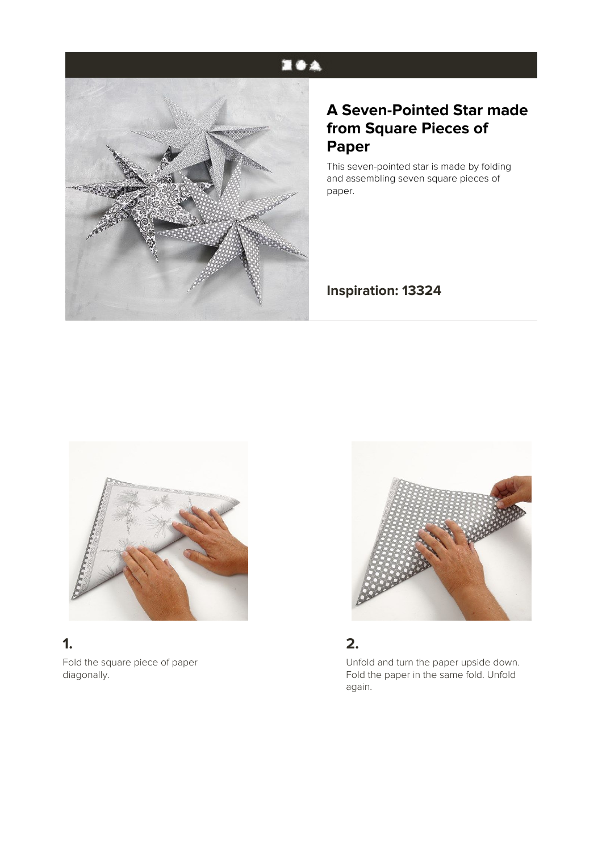# 医香泉



# **A Seven-Pointed Star made from Square Pieces of Paper**

This seven-pointed star is made by folding and assembling seven square pieces of paper.

**Inspiration: 13324**



## **1.**

Fold the square piece of paper diagonally.



#### **2.**

Unfold and turn the paper upside down. Fold the paper in the same fold. Unfold again.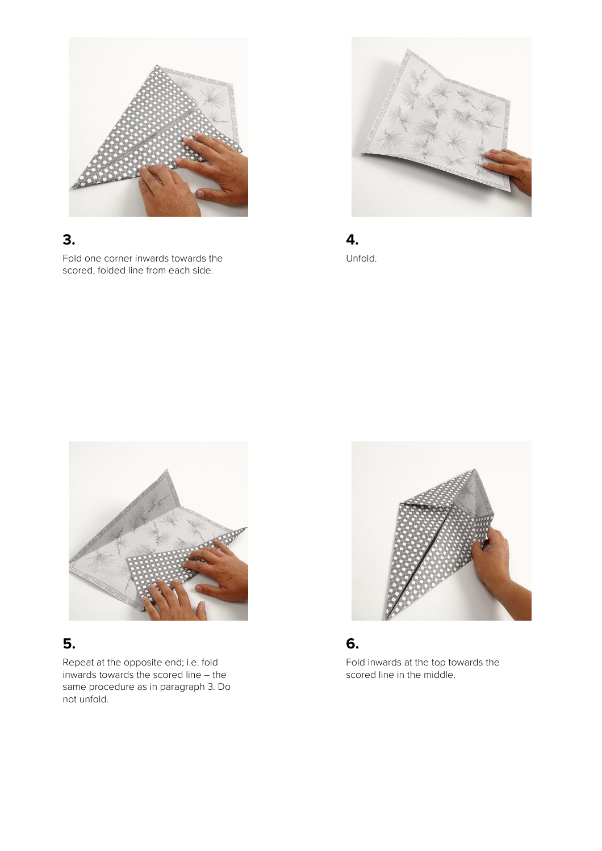

# **3.**

Fold one corner inwards towards the scored, folded line from each side.



**4.** Unfold.



### **5.**

Repeat at the opposite end; i.e. fold inwards towards the scored line – the same procedure as in paragraph 3. Do not unfold.



### **6.**

Fold inwards at the top towards the scored line in the middle.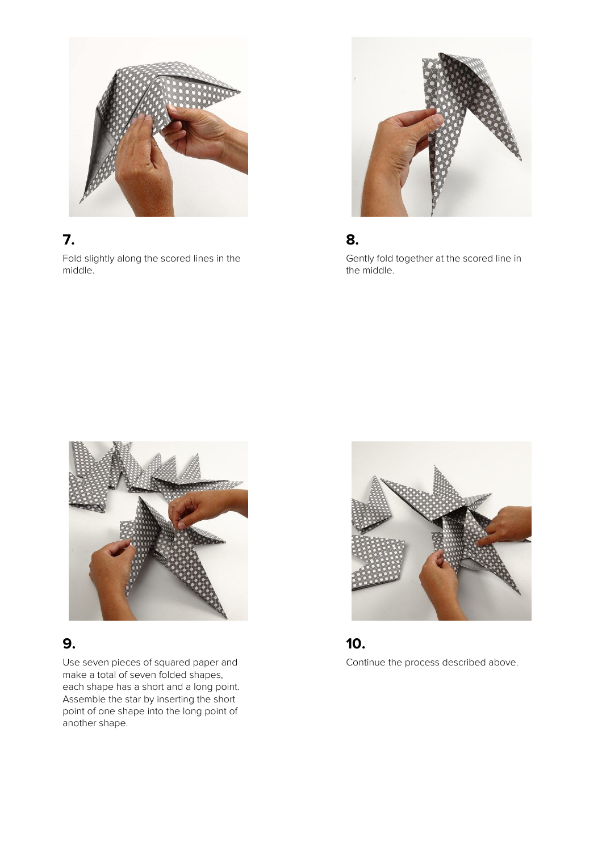

# **7.**

Fold slightly along the scored lines in the middle.



#### **8.**

Gently fold together at the scored line in the middle.



#### **9.**

Use seven pieces of squared paper and make a total of seven folded shapes, each shape has a short and a long point. Assemble the star by inserting the short point of one shape into the long point of another shape.



### **10.**

Continue the process described above.